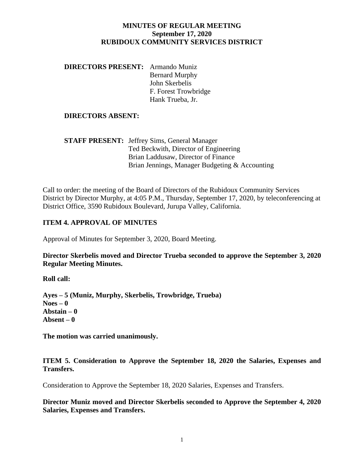### **MINUTES OF REGULAR MEETING September 17, 2020 RUBIDOUX COMMUNITY SERVICES DISTRICT**

**DIRECTORS PRESENT:** Armando Muniz Bernard Murphy John Skerbelis F. Forest Trowbridge Hank Trueba, Jr.

#### **DIRECTORS ABSENT:**

**STAFF PRESENT:** Jeffrey Sims, General Manager Ted Beckwith, Director of Engineering Brian Laddusaw, Director of Finance Brian Jennings, Manager Budgeting & Accounting

Call to order: the meeting of the Board of Directors of the Rubidoux Community Services District by Director Murphy, at 4:05 P.M., Thursday, September 17, 2020, by teleconferencing at District Office, 3590 Rubidoux Boulevard, Jurupa Valley, California.

#### **ITEM 4. APPROVAL OF MINUTES**

Approval of Minutes for September 3, 2020, Board Meeting.

**Director Skerbelis moved and Director Trueba seconded to approve the September 3, 2020 Regular Meeting Minutes.**

**Roll call:**

**Ayes – 5 (Muniz, Murphy, Skerbelis, Trowbridge, Trueba) Noes – 0 Abstain – 0 Absent – 0**

**The motion was carried unanimously.**

**ITEM 5. Consideration to Approve the September 18, 2020 the Salaries, Expenses and Transfers.** 

Consideration to Approve the September 18, 2020 Salaries, Expenses and Transfers.

**Director Muniz moved and Director Skerbelis seconded to Approve the September 4, 2020 Salaries, Expenses and Transfers.**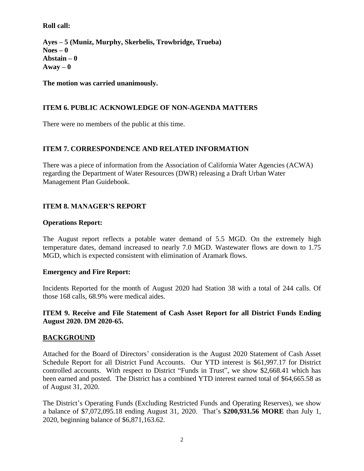## **Roll call:**

**Ayes – 5 (Muniz, Murphy, Skerbelis, Trowbridge, Trueba) Noes – 0 Abstain – 0**  $A$ way  $-0$ 

**The motion was carried unanimously.**

# **ITEM 6. PUBLIC ACKNOWLEDGE OF NON-AGENDA MATTERS**

There were no members of the public at this time.

# **ITEM 7. CORRESPONDENCE AND RELATED INFORMATION**

There was a piece of information from the Association of California Water Agencies (ACWA) regarding the Department of Water Resources (DWR) releasing a Draft Urban Water Management Plan Guidebook.

# **ITEM 8. MANAGER'S REPORT**

### **Operations Report:**

The August report reflects a potable water demand of 5.5 MGD. On the extremely high temperature dates, demand increased to nearly 7.0 MGD. Wastewater flows are down to 1.75 MGD, which is expected consistent with elimination of Aramark flows.

### **Emergency and Fire Report:**

Incidents Reported for the month of August 2020 had Station 38 with a total of 244 calls. Of those 168 calls, 68.9% were medical aides.

### **ITEM 9. Receive and File Statement of Cash Asset Report for all District Funds Ending August 2020. DM 2020-65.**

### **BACKGROUND**

Attached for the Board of Directors' consideration is the August 2020 Statement of Cash Asset Schedule Report for all District Fund Accounts. Our YTD interest is \$61,997.17 for District controlled accounts. With respect to District "Funds in Trust", we show \$2,668.41 which has been earned and posted. The District has a combined YTD interest earned total of \$64,665.58 as of August 31, 2020.

The District's Operating Funds (Excluding Restricted Funds and Operating Reserves), we show a balance of \$7,072,095.18 ending August 31, 2020. That's **\$200,931.56 MORE** than July 1, 2020, beginning balance of \$6,871,163.62.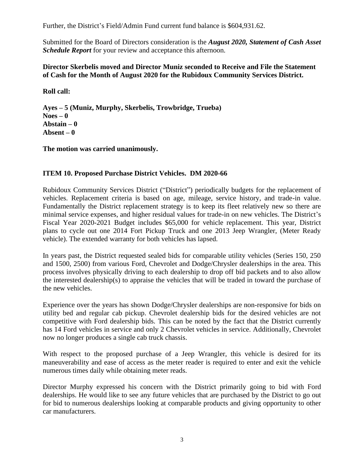Further, the District's Field/Admin Fund current fund balance is \$604,931.62.

Submitted for the Board of Directors consideration is the *August 2020, Statement of Cash Asset Schedule Report* for your review and acceptance this afternoon.

### **Director Skerbelis moved and Director Muniz seconded to Receive and File the Statement of Cash for the Month of August 2020 for the Rubidoux Community Services District.**

**Roll call:**

**Ayes – 5 (Muniz, Murphy, Skerbelis, Trowbridge, Trueba) Noes – 0 Abstain – 0 Absent – 0**

**The motion was carried unanimously.**

### **ITEM 10. Proposed Purchase District Vehicles. DM 2020-66**

Rubidoux Community Services District ("District") periodically budgets for the replacement of vehicles. Replacement criteria is based on age, mileage, service history, and trade-in value. Fundamentally the District replacement strategy is to keep its fleet relatively new so there are minimal service expenses, and higher residual values for trade-in on new vehicles. The District's Fiscal Year 2020-2021 Budget includes \$65,000 for vehicle replacement. This year, District plans to cycle out one 2014 Fort Pickup Truck and one 2013 Jeep Wrangler, (Meter Ready vehicle). The extended warranty for both vehicles has lapsed.

In years past, the District requested sealed bids for comparable utility vehicles (Series 150, 250 and 1500, 2500) from various Ford, Chevrolet and Dodge/Chrysler dealerships in the area. This process involves physically driving to each dealership to drop off bid packets and to also allow the interested dealership(s) to appraise the vehicles that will be traded in toward the purchase of the new vehicles.

Experience over the years has shown Dodge/Chrysler dealerships are non-responsive for bids on utility bed and regular cab pickup. Chevrolet dealership bids for the desired vehicles are not competitive with Ford dealership bids. This can be noted by the fact that the District currently has 14 Ford vehicles in service and only 2 Chevrolet vehicles in service. Additionally, Chevrolet now no longer produces a single cab truck chassis.

With respect to the proposed purchase of a Jeep Wrangler, this vehicle is desired for its maneuverability and ease of access as the meter reader is required to enter and exit the vehicle numerous times daily while obtaining meter reads.

Director Murphy expressed his concern with the District primarily going to bid with Ford dealerships. He would like to see any future vehicles that are purchased by the District to go out for bid to numerous dealerships looking at comparable products and giving opportunity to other car manufacturers.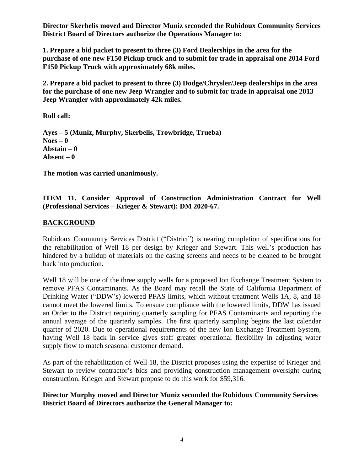**Director Skerbelis moved and Director Muniz seconded the Rubidoux Community Services District Board of Directors authorize the Operations Manager to:**

**1. Prepare a bid packet to present to three (3) Ford Dealerships in the area for the purchase of one new F150 Pickup truck and to submit for trade in appraisal one 2014 Ford F150 Pickup Truck with approximately 68k miles.**

**2. Prepare a bid packet to present to three (3) Dodge/Chrysler/Jeep dealerships in the area for the purchase of one new Jeep Wrangler and to submit for trade in appraisal one 2013 Jeep Wrangler with approximately 42k miles.**

**Roll call:**

**Ayes – 5 (Muniz, Murphy, Skerbelis, Trowbridge, Trueba) Noes – 0 Abstain – 0 Absent – 0**

**The motion was carried unanimously.**

# **ITEM 11. Consider Approval of Construction Administration Contract for Well (Professional Services – Krieger & Stewart): DM 2020-67.**

### **BACKGROUND**

Rubidoux Community Services District ("District") is nearing completion of specifications for the rehabilitation of Well 18 per design by Krieger and Stewart. This well's production has hindered by a buildup of materials on the casing screens and needs to be cleaned to be brought back into production.

Well 18 will be one of the three supply wells for a proposed Ion Exchange Treatment System to remove PFAS Contaminants. As the Board may recall the State of California Department of Drinking Water ("DDW's) lowered PFAS limits, which without treatment Wells 1A, 8, and 18 cannot meet the lowered limits. To ensure compliance with the lowered limits, DDW has issued an Order to the District requiring quarterly sampling for PFAS Contaminants and reporting the annual average of the quarterly samples. The first quarterly sampling begins the last calendar quarter of 2020. Due to operational requirements of the new Ion Exchange Treatment System, having Well 18 back in service gives staff greater operational flexibility in adjusting water supply flow to match seasonal customer demand.

As part of the rehabilitation of Well 18, the District proposes using the expertise of Krieger and Stewart to review contractor's bids and providing construction management oversight during construction. Krieger and Stewart propose to do this work for \$59,316.

### **Director Murphy moved and Director Muniz seconded the Rubidoux Community Services District Board of Directors authorize the General Manager to:**